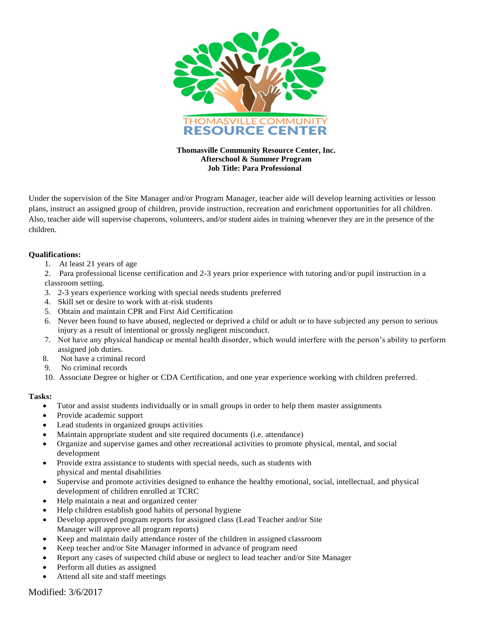

**Thomasville Community Resource Center, Inc. Afterschool & Summer Program Job Title: Para Professional**

Under the supervision of the Site Manager and/or Program Manager, teacher aide will develop learning activities or lesson plans, instruct an assigned group of children, provide instruction, recreation and enrichment opportunities for all children. Also, teacher aide will supervise chaperons, volunteers, and/or student aides in training whenever they are in the presence of the children.

## **Qualifications:**

- 1. At least 21 years of age
- 2. Para professional license certification and 2-3 years prior experience with tutoring and/or pupil instruction in a classroom setting.
- 3. 2-3 years experience working with special needs students preferred
- 4. Skill set or desire to work with at-risk students
- 5. Obtain and maintain CPR and First Aid Certification
- 6. Never been found to have abused, neglected or deprived a child or adult or to have subjected any person to serious injury as a result of intentional or grossly negligent misconduct.
- 7. Not have any physical handicap or mental health disorder, which would interfere with the person's ability to perform assigned job duties.
- 8. Not have a criminal record
- 9. No criminal records
- 10. Associate Degree or higher or CDA Certification, and one year experience working with children preferred. .

## **Tasks:**

- Tutor and assist students individually or in small groups in order to help them master assignments
- Provide academic support
- Lead students in organized groups activities
- Maintain appropriate student and site required documents (i.e. attendance)
- Organize and supervise games and other recreational activities to promote physical, mental, and social development
- Provide extra assistance to students with special needs, such as students with physical and mental disabilities
- Supervise and promote activities designed to enhance the healthy emotional, social, intellectual, and physical development of children enrolled at TCRC
- Help maintain a neat and organized center
- Help children establish good habits of personal hygiene
- Develop approved program reports for assigned class (Lead Teacher and/or Site Manager will approve all program reports)
- Keep and maintain daily attendance roster of the children in assigned classroom
- Keep teacher and/or Site Manager informed in advance of program need
- Report any cases of suspected child abuse or neglect to lead teacher and/or Site Manager
- Perform all duties as assigned
- Attend all site and staff meetings

Modified: 3/6/2017